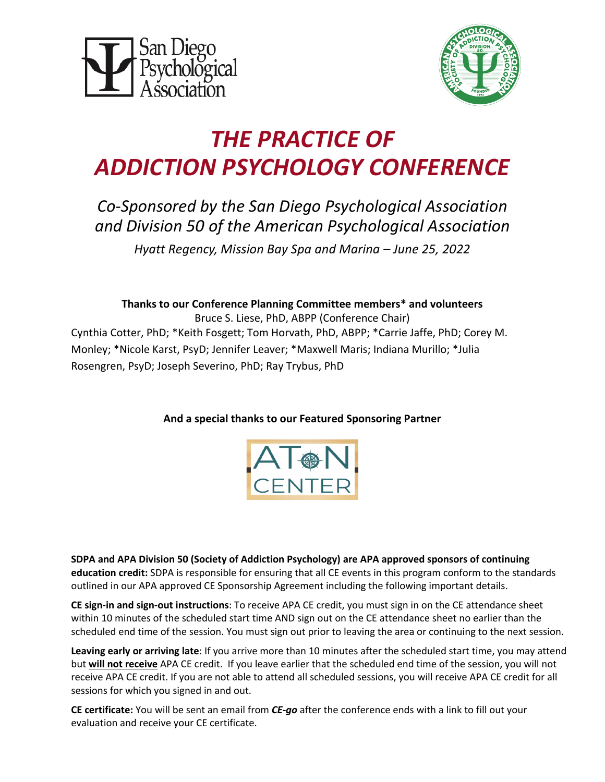



# *THE PRACTICE OF ADDICTION PSYCHOLOGY CONFERENCE*

## *Co-Sponsored by the San Diego Psychological Association and Division 50 of the American Psychological Association*

*Hyatt Regency, Mission Bay Spa and Marina – June 25, 2022*

## **Thanks to our Conference Planning Committee members\* and volunteers**

Bruce S. Liese, PhD, ABPP (Conference Chair) Cynthia Cotter, PhD; \*Keith Fosgett; Tom Horvath, PhD, ABPP; \*Carrie Jaffe, PhD; Corey M. Monley; \*Nicole Karst, PsyD; Jennifer Leaver; \*Maxwell Maris; Indiana Murillo; \*Julia Rosengren, PsyD; Joseph Severino, PhD; Ray Trybus, PhD

## **And a special thanks to our Featured Sponsoring Partner**



**SDPA and APA Division 50 (Society of Addiction Psychology) are APA approved sponsors of continuing education credit:** SDPA is responsible for ensuring that all CE events in this program conform to the standards outlined in our APA approved CE Sponsorship Agreement including the following important details.

**CE sign-in and sign-out instructions**: To receive APA CE credit, you must sign in on the CE attendance sheet within 10 minutes of the scheduled start time AND sign out on the CE attendance sheet no earlier than the scheduled end time of the session. You must sign out prior to leaving the area or continuing to the next session.

**Leaving early or arriving late**: If you arrive more than 10 minutes after the scheduled start time, you may attend but **will not receive** APA CE credit. If you leave earlier that the scheduled end time of the session, you will not receive APA CE credit. If you are not able to attend all scheduled sessions, you will receive APA CE credit for all sessions for which you signed in and out.

**CE certificate:** You will be sent an email from *CE-go* after the conference ends with a link to fill out your evaluation and receive your CE certificate.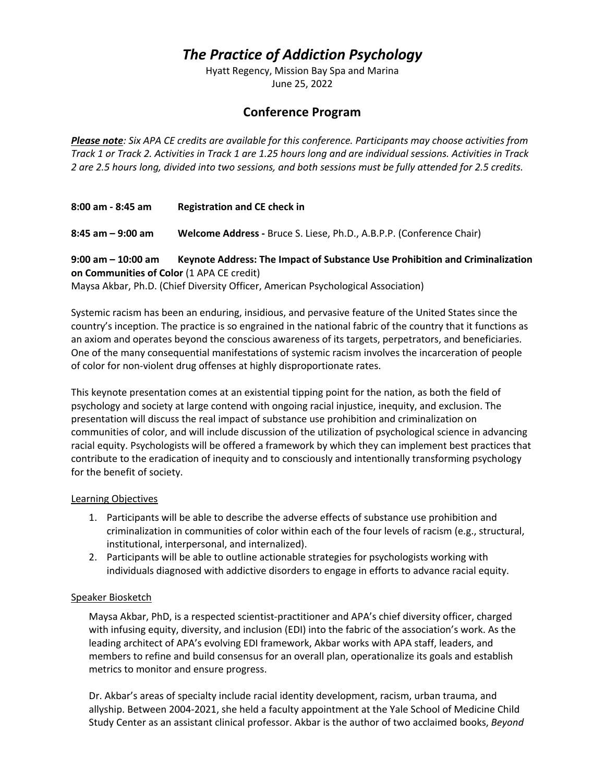## *The Practice of Addiction Psychology*

Hyatt Regency, Mission Bay Spa and Marina June 25, 2022

### **Conference Program**

*Please note: Six APA CE credits are available for this conference. Participants may choose activities from Track 1 or Track 2. Activities in Track 1 are 1.25 hours long and are individual sessions. Activities in Track 2 are 2.5 hours long, divided into two sessions, and both sessions must be fully attended for 2.5 credits.*

**8:00 am - 8:45 am Registration and CE check in**

**8:45 am – 9:00 am Welcome Address -** Bruce S. Liese, Ph.D., A.B.P.P. (Conference Chair)

**9:00 am – 10:00 am Keynote Address: The Impact of Substance Use Prohibition and Criminalization on Communities of Color** (1 APA CE credit)

Maysa Akbar, Ph.D. (Chief Diversity Officer, American Psychological Association)

Systemic racism has been an enduring, insidious, and pervasive feature of the United States since the country's inception. The practice is so engrained in the national fabric of the country that it functions as an axiom and operates beyond the conscious awareness of its targets, perpetrators, and beneficiaries. One of the many consequential manifestations of systemic racism involves the incarceration of people of color for non-violent drug offenses at highly disproportionate rates.

This keynote presentation comes at an existential tipping point for the nation, as both the field of psychology and society at large contend with ongoing racial injustice, inequity, and exclusion. The presentation will discuss the real impact of substance use prohibition and criminalization on communities of color, and will include discussion of the utilization of psychological science in advancing racial equity. Psychologists will be offered a framework by which they can implement best practices that contribute to the eradication of inequity and to consciously and intentionally transforming psychology for the benefit of society.

#### Learning Objectives

- 1. Participants will be able to describe the adverse effects of substance use prohibition and criminalization in communities of color within each of the four levels of racism (e.g., structural, institutional, interpersonal, and internalized).
- 2. Participants will be able to outline actionable strategies for psychologists working with individuals diagnosed with addictive disorders to engage in efforts to advance racial equity.

#### Speaker Biosketch

Maysa Akbar, PhD, is a respected scientist-practitioner and APA's chief diversity officer, charged with infusing equity, diversity, and inclusion (EDI) into the fabric of the association's work. As the leading architect of APA's evolving EDI framework, Akbar works with APA staff, leaders, and members to refine and build consensus for an overall plan, operationalize its goals and establish metrics to monitor and ensure progress.

Dr. Akbar's areas of specialty include racial identity development, racism, urban trauma, and allyship. Between 2004-2021, she held a faculty appointment at the Yale School of Medicine Child Study Center as an assistant clinical professor. Akbar is the author of two acclaimed books, *Beyond*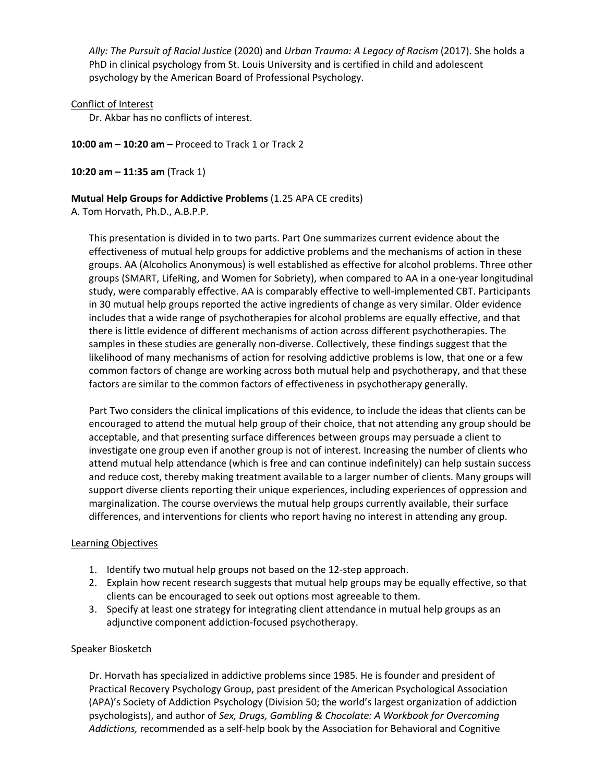*Ally: The Pursuit of Racial Justice* (2020) and *Urban Trauma: A Legacy of Racism* (2017). She holds a PhD in clinical psychology from St. Louis University and is certified in child and adolescent psychology by the American Board of Professional Psychology.

#### Conflict of Interest

Dr. Akbar has no conflicts of interest.

**10:00 am – 10:20 am –** Proceed to Track 1 or Track 2

**10:20 am – 11:35 am** (Track 1)

#### **Mutual Help Groups for Addictive Problems** (1.25 APA CE credits)

A. Tom Horvath, Ph.D., A.B.P.P.

This presentation is divided in to two parts. Part One summarizes current evidence about the effectiveness of mutual help groups for addictive problems and the mechanisms of action in these groups. AA (Alcoholics Anonymous) is well established as effective for alcohol problems. Three other groups (SMART, LifeRing, and Women for Sobriety), when compared to AA in a one-year longitudinal study, were comparably effective. AA is comparably effective to well-implemented CBT. Participants in 30 mutual help groups reported the active ingredients of change as very similar. Older evidence includes that a wide range of psychotherapies for alcohol problems are equally effective, and that there is little evidence of different mechanisms of action across different psychotherapies. The samples in these studies are generally non-diverse. Collectively, these findings suggest that the likelihood of many mechanisms of action for resolving addictive problems is low, that one or a few common factors of change are working across both mutual help and psychotherapy, and that these factors are similar to the common factors of effectiveness in psychotherapy generally.

Part Two considers the clinical implications of this evidence, to include the ideas that clients can be encouraged to attend the mutual help group of their choice, that not attending any group should be acceptable, and that presenting surface differences between groups may persuade a client to investigate one group even if another group is not of interest. Increasing the number of clients who attend mutual help attendance (which is free and can continue indefinitely) can help sustain success and reduce cost, thereby making treatment available to a larger number of clients. Many groups will support diverse clients reporting their unique experiences, including experiences of oppression and marginalization. The course overviews the mutual help groups currently available, their surface differences, and interventions for clients who report having no interest in attending any group.

#### Learning Objectives

- 1. Identify two mutual help groups not based on the 12-step approach.
- 2. Explain how recent research suggests that mutual help groups may be equally effective, so that clients can be encouraged to seek out options most agreeable to them.
- 3. Specify at least one strategy for integrating client attendance in mutual help groups as an adjunctive component addiction-focused psychotherapy.

#### Speaker Biosketch

Dr. Horvath has specialized in addictive problems since 1985. He is founder and president of Practical Recovery Psychology Group, past president of the American Psychological Association (APA)'s Society of Addiction Psychology (Division 50; the world's largest organization of addiction psychologists), and author of *Sex, Drugs, Gambling & Chocolate: A Workbook for Overcoming Addictions,* recommended as a self-help book by the Association for Behavioral and Cognitive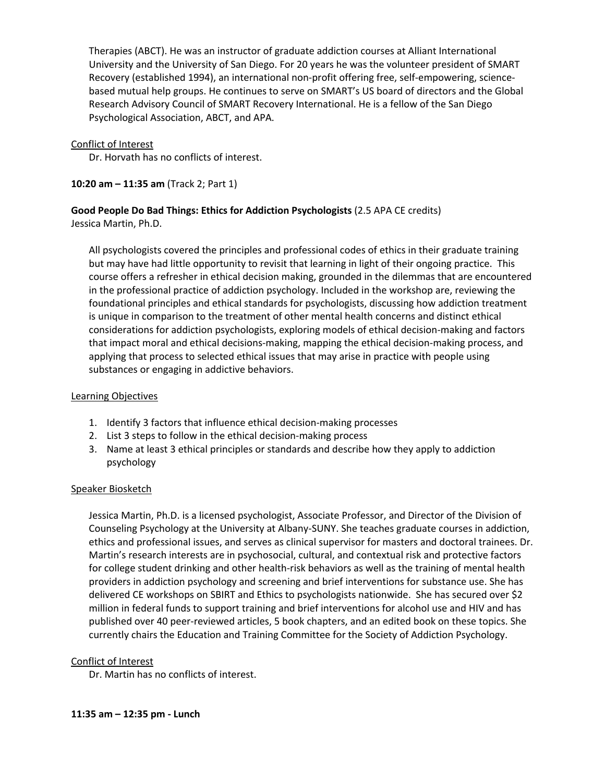Therapies (ABCT). He was an instructor of graduate addiction courses at Alliant International University and the University of San Diego. For 20 years he was the volunteer president of SMART Recovery (established 1994), an international non-profit offering free, self-empowering, sciencebased mutual help groups. He continues to serve on SMART's US board of directors and the Global Research Advisory Council of SMART Recovery International. He is a fellow of the San Diego Psychological Association, ABCT, and APA.

#### Conflict of Interest

Dr. Horvath has no conflicts of interest.

#### **10:20 am – 11:35 am** (Track 2; Part 1)

#### **Good People Do Bad Things: Ethics for Addiction Psychologists** (2.5 APA CE credits) Jessica Martin, Ph.D.

All psychologists covered the principles and professional codes of ethics in their graduate training but may have had little opportunity to revisit that learning in light of their ongoing practice. This course offers a refresher in ethical decision making, grounded in the dilemmas that are encountered in the professional practice of addiction psychology. Included in the workshop are, reviewing the foundational principles and ethical standards for psychologists, discussing how addiction treatment is unique in comparison to the treatment of other mental health concerns and distinct ethical considerations for addiction psychologists, exploring models of ethical decision-making and factors that impact moral and ethical decisions-making, mapping the ethical decision-making process, and applying that process to selected ethical issues that may arise in practice with people using substances or engaging in addictive behaviors.

#### Learning Objectives

- 1. Identify 3 factors that influence ethical decision-making processes
- 2. List 3 steps to follow in the ethical decision-making process
- 3. Name at least 3 ethical principles or standards and describe how they apply to addiction psychology

#### Speaker Biosketch

Jessica Martin, Ph.D. is a licensed psychologist, Associate Professor, and Director of the Division of Counseling Psychology at the University at Albany-SUNY. She teaches graduate courses in addiction, ethics and professional issues, and serves as clinical supervisor for masters and doctoral trainees. Dr. Martin's research interests are in psychosocial, cultural, and contextual risk and protective factors for college student drinking and other health-risk behaviors as well as the training of mental health providers in addiction psychology and screening and brief interventions for substance use. She has delivered CE workshops on SBIRT and Ethics to psychologists nationwide. She has secured over \$2 million in federal funds to support training and brief interventions for alcohol use and HIV and has published over 40 peer-reviewed articles, 5 book chapters, and an edited book on these topics. She currently chairs the Education and Training Committee for the Society of Addiction Psychology.

#### Conflict of Interest

Dr. Martin has no conflicts of interest.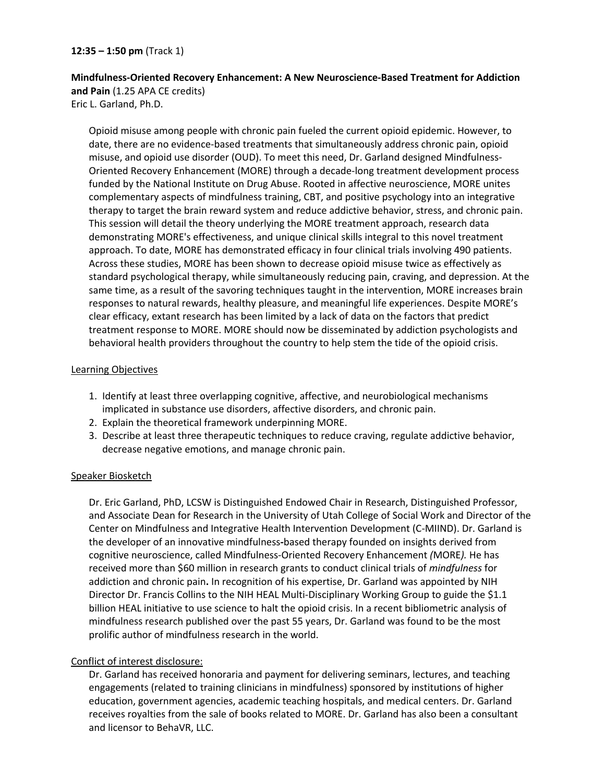**12:35 – 1:50 pm** (Track 1)

**Mindfulness-Oriented Recovery Enhancement: A New Neuroscience-Based Treatment for Addiction and Pain** (1.25 APA CE credits) Eric L. Garland, Ph.D.

Opioid misuse among people with chronic pain fueled the current opioid epidemic. However, to date, there are no evidence-based treatments that simultaneously address chronic pain, opioid misuse, and opioid use disorder (OUD). To meet this need, Dr. Garland designed Mindfulness-Oriented Recovery Enhancement (MORE) through a decade-long treatment development process funded by the National Institute on Drug Abuse. Rooted in affective neuroscience, MORE unites complementary aspects of mindfulness training, CBT, and positive psychology into an integrative therapy to target the brain reward system and reduce addictive behavior, stress, and chronic pain. This session will detail the theory underlying the MORE treatment approach, research data demonstrating MORE's effectiveness, and unique clinical skills integral to this novel treatment approach. To date, MORE has demonstrated efficacy in four clinical trials involving 490 patients. Across these studies, MORE has been shown to decrease opioid misuse twice as effectively as standard psychological therapy, while simultaneously reducing pain, craving, and depression. At the same time, as a result of the savoring techniques taught in the intervention, MORE increases brain responses to natural rewards, healthy pleasure, and meaningful life experiences. Despite MORE's clear efficacy, extant research has been limited by a lack of data on the factors that predict treatment response to MORE. MORE should now be disseminated by addiction psychologists and behavioral health providers throughout the country to help stem the tide of the opioid crisis.

#### Learning Objectives

- 1. Identify at least three overlapping cognitive, affective, and neurobiological mechanisms implicated in substance use disorders, affective disorders, and chronic pain.
- 2. Explain the theoretical framework underpinning MORE.
- 3. Describe at least three therapeutic techniques to reduce craving, regulate addictive behavior, decrease negative emotions, and manage chronic pain.

#### Speaker Biosketch

Dr. Eric Garland, PhD, LCSW is Distinguished Endowed Chair in Research, Distinguished Professor, and Associate Dean for Research in the University of Utah College of Social Work and Director of the Center on Mindfulness and Integrative Health Intervention Development (C-MIIND). Dr. Garland is the developer of an innovative mindfulness**-**based therapy founded on insights derived from cognitive neuroscience, called Mindfulness-Oriented Recovery Enhancement *(*MORE*).* He has received more than \$60 million in research grants to conduct clinical trials of *mindfulness* for addiction and chronic pain**.** In recognition of his expertise, Dr. Garland was appointed by NIH Director Dr. Francis Collins to the NIH HEAL Multi-Disciplinary Working Group to guide the \$1.1 billion HEAL initiative to use science to halt the opioid crisis. In a recent bibliometric analysis of mindfulness research published over the past 55 years, Dr. Garland was found to be the most prolific author of mindfulness research in the world.

#### Conflict of interest disclosure:

Dr. Garland has received honoraria and payment for delivering seminars, lectures, and teaching engagements (related to training clinicians in mindfulness) sponsored by institutions of higher education, government agencies, academic teaching hospitals, and medical centers. Dr. Garland receives royalties from the sale of books related to MORE. Dr. Garland has also been a consultant and licensor to BehaVR, LLC.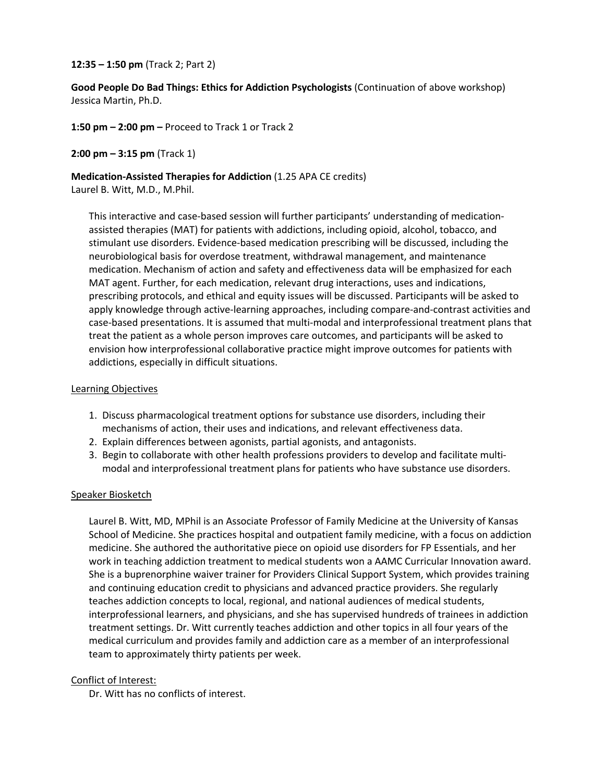#### **12:35 – 1:50 pm** (Track 2; Part 2)

**Good People Do Bad Things: Ethics for Addiction Psychologists** (Continuation of above workshop) Jessica Martin, Ph.D.

**1:50 pm – 2:00 pm –** Proceed to Track 1 or Track 2

**2:00 pm – 3:15 pm** (Track 1)

**Medication-Assisted Therapies for Addiction** (1.25 APA CE credits) Laurel B. Witt, M.D., M.Phil.

This interactive and case-based session will further participants' understanding of medicationassisted therapies (MAT) for patients with addictions, including opioid, alcohol, tobacco, and stimulant use disorders. Evidence-based medication prescribing will be discussed, including the neurobiological basis for overdose treatment, withdrawal management, and maintenance medication. Mechanism of action and safety and effectiveness data will be emphasized for each MAT agent. Further, for each medication, relevant drug interactions, uses and indications, prescribing protocols, and ethical and equity issues will be discussed. Participants will be asked to apply knowledge through active-learning approaches, including compare-and-contrast activities and case-based presentations. It is assumed that multi-modal and interprofessional treatment plans that treat the patient as a whole person improves care outcomes, and participants will be asked to envision how interprofessional collaborative practice might improve outcomes for patients with addictions, especially in difficult situations.

#### Learning Objectives

- 1. Discuss pharmacological treatment options for substance use disorders, including their mechanisms of action, their uses and indications, and relevant effectiveness data.
- 2. Explain differences between agonists, partial agonists, and antagonists.
- 3. Begin to collaborate with other health professions providers to develop and facilitate multimodal and interprofessional treatment plans for patients who have substance use disorders.

#### Speaker Biosketch

Laurel B. Witt, MD, MPhil is an Associate Professor of Family Medicine at the University of Kansas School of Medicine. She practices hospital and outpatient family medicine, with a focus on addiction medicine. She authored the authoritative piece on opioid use disorders for FP Essentials, and her work in teaching addiction treatment to medical students won a AAMC Curricular Innovation award. She is a buprenorphine waiver trainer for Providers Clinical Support System, which provides training and continuing education credit to physicians and advanced practice providers. She regularly teaches addiction concepts to local, regional, and national audiences of medical students, interprofessional learners, and physicians, and she has supervised hundreds of trainees in addiction treatment settings. Dr. Witt currently teaches addiction and other topics in all four years of the medical curriculum and provides family and addiction care as a member of an interprofessional team to approximately thirty patients per week.

#### Conflict of Interest:

Dr. Witt has no conflicts of interest.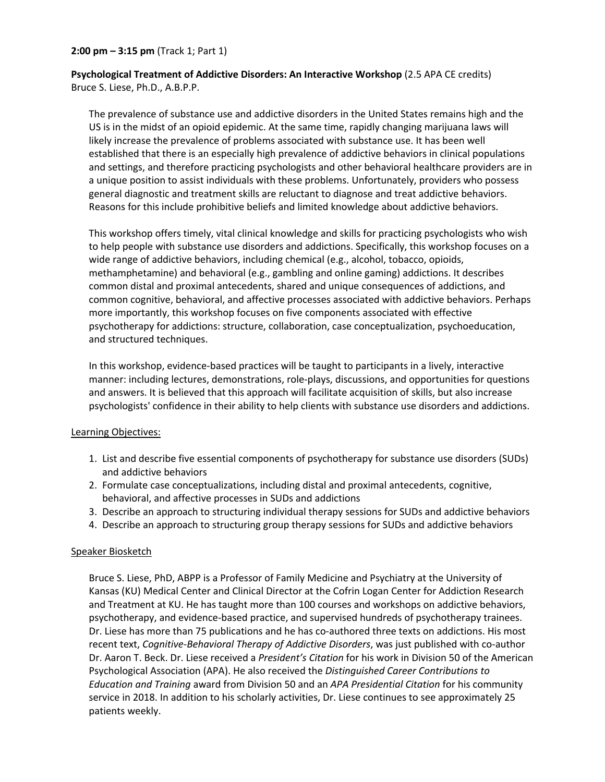#### **2:00 pm – 3:15 pm** (Track 1; Part 1)

**Psychological Treatment of Addictive Disorders: An Interactive Workshop** (2.5 APA CE credits) Bruce S. Liese, Ph.D., A.B.P.P.

The prevalence of substance use and addictive disorders in the United States remains high and the US is in the midst of an opioid epidemic. At the same time, rapidly changing marijuana laws will likely increase the prevalence of problems associated with substance use. It has been well established that there is an especially high prevalence of addictive behaviors in clinical populations and settings, and therefore practicing psychologists and other behavioral healthcare providers are in a unique position to assist individuals with these problems. Unfortunately, providers who possess general diagnostic and treatment skills are reluctant to diagnose and treat addictive behaviors. Reasons for this include prohibitive beliefs and limited knowledge about addictive behaviors.

This workshop offers timely, vital clinical knowledge and skills for practicing psychologists who wish to help people with substance use disorders and addictions. Specifically, this workshop focuses on a wide range of addictive behaviors, including chemical (e.g., alcohol, tobacco, opioids, methamphetamine) and behavioral (e.g., gambling and online gaming) addictions. It describes common distal and proximal antecedents, shared and unique consequences of addictions, and common cognitive, behavioral, and affective processes associated with addictive behaviors. Perhaps more importantly, this workshop focuses on five components associated with effective psychotherapy for addictions: structure, collaboration, case conceptualization, psychoeducation, and structured techniques.

In this workshop, evidence-based practices will be taught to participants in a lively, interactive manner: including lectures, demonstrations, role-plays, discussions, and opportunities for questions and answers. It is believed that this approach will facilitate acquisition of skills, but also increase psychologists' confidence in their ability to help clients with substance use disorders and addictions.

#### Learning Objectives:

- 1. List and describe five essential components of psychotherapy for substance use disorders (SUDs) and addictive behaviors
- 2. Formulate case conceptualizations, including distal and proximal antecedents, cognitive, behavioral, and affective processes in SUDs and addictions
- 3. Describe an approach to structuring individual therapy sessions for SUDs and addictive behaviors
- 4. Describe an approach to structuring group therapy sessions for SUDs and addictive behaviors

#### Speaker Biosketch

Bruce S. Liese, PhD, ABPP is a Professor of Family Medicine and Psychiatry at the University of Kansas (KU) Medical Center and Clinical Director at the Cofrin Logan Center for Addiction Research and Treatment at KU. He has taught more than 100 courses and workshops on addictive behaviors, psychotherapy, and evidence-based practice, and supervised hundreds of psychotherapy trainees. Dr. Liese has more than 75 publications and he has co-authored three texts on addictions. His most recent text, *Cognitive-Behavioral Therapy of Addictive Disorders*, was just published with co-author Dr. Aaron T. Beck. Dr. Liese received a *President's Citation* for his work in Division 50 of the American Psychological Association (APA). He also received the *Distinguished Career Contributions to Education and Training* award from Division 50 and an *APA Presidential Citation* for his community service in 2018. In addition to his scholarly activities, Dr. Liese continues to see approximately 25 patients weekly.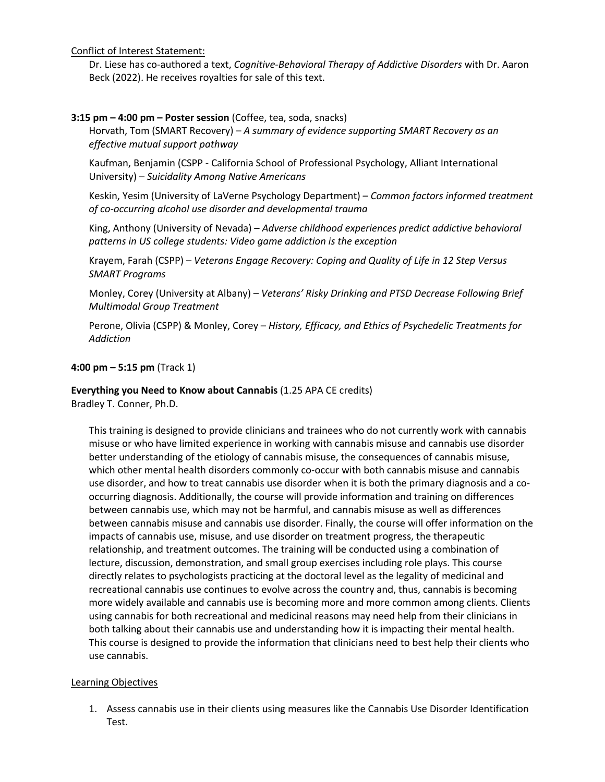Conflict of Interest Statement:

Dr. Liese has co-authored a text, *Cognitive-Behavioral Therapy of Addictive Disorders* with Dr. Aaron Beck (2022). He receives royalties for sale of this text.

#### **3:15 pm – 4:00 pm – Poster session** (Coffee, tea, soda, snacks)

Horvath, Tom (SMART Recovery) – *A summary of evidence supporting SMART Recovery as an effective mutual support pathway*

Kaufman, Benjamin (CSPP - California School of Professional Psychology, Alliant International University) – *Suicidality Among Native Americans*

Keskin, Yesim (University of LaVerne Psychology Department) – *Common factors informed treatment of co-occurring alcohol use disorder and developmental trauma* 

King, Anthony (University of Nevada) – *Adverse childhood experiences predict addictive behavioral patterns in US college students: Video game addiction is the exception*

Krayem, Farah (CSPP) – *Veterans Engage Recovery: Coping and Quality of Life in 12 Step Versus SMART Programs*

Monley, Corey (University at Albany) – *Veterans' Risky Drinking and PTSD Decrease Following Brief Multimodal Group Treatment*

Perone, Olivia (CSPP) & Monley, Corey – *History, Efficacy, and Ethics of Psychedelic Treatments for Addiction*

#### **4:00 pm – 5:15 pm** (Track 1)

**Everything you Need to Know about Cannabis** (1.25 APA CE credits)

Bradley T. Conner, Ph.D.

This training is designed to provide clinicians and trainees who do not currently work with cannabis misuse or who have limited experience in working with cannabis misuse and cannabis use disorder better understanding of the etiology of cannabis misuse, the consequences of cannabis misuse, which other mental health disorders commonly co-occur with both cannabis misuse and cannabis use disorder, and how to treat cannabis use disorder when it is both the primary diagnosis and a cooccurring diagnosis. Additionally, the course will provide information and training on differences between cannabis use, which may not be harmful, and cannabis misuse as well as differences between cannabis misuse and cannabis use disorder. Finally, the course will offer information on the impacts of cannabis use, misuse, and use disorder on treatment progress, the therapeutic relationship, and treatment outcomes. The training will be conducted using a combination of lecture, discussion, demonstration, and small group exercises including role plays. This course directly relates to psychologists practicing at the doctoral level as the legality of medicinal and recreational cannabis use continues to evolve across the country and, thus, cannabis is becoming more widely available and cannabis use is becoming more and more common among clients. Clients using cannabis for both recreational and medicinal reasons may need help from their clinicians in both talking about their cannabis use and understanding how it is impacting their mental health. This course is designed to provide the information that clinicians need to best help their clients who use cannabis.

#### Learning Objectives

1. Assess cannabis use in their clients using measures like the Cannabis Use Disorder Identification Test.